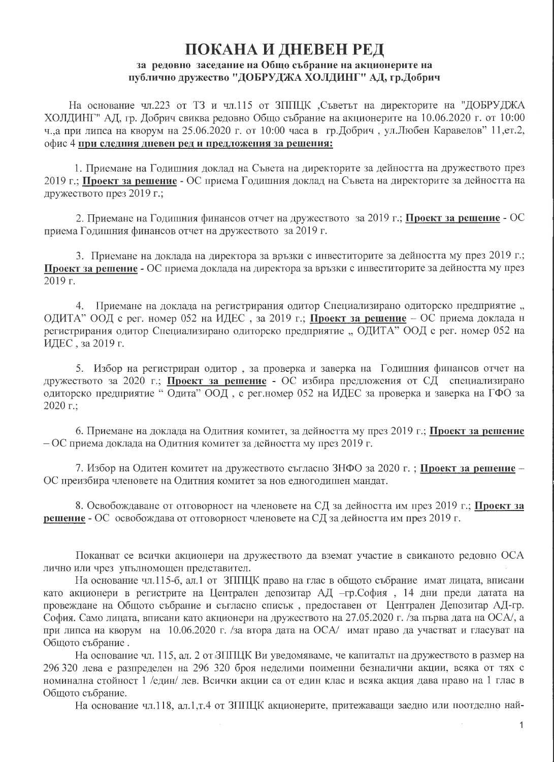## ПОКАНА И ДНЕВЕН РЕД за редовно заседание на Общо събрание на акционерите на публично дружество "ДОБРУДЖА ХОЛДИНГ" АД, гр.Добрич

На основание чл.223 от ТЗ и чл.115 от ЗППЦК ,Съветът на директорите на "ДОБРУДЖА ХОЛДИНГ" АД, гр. Добрич свиква редовно Общо събрание на акционерите на 10.06.2020 г. от 10:00 ч.,а при липса на кворум на 25.06.2020 г. от 10:00 часа в гр.Добрич, ул.Любен Каравелов" 11, ет. 2, офис 4 при следния дневен ред и предложения за решения:

1. Приемане на Годишния доклад на Съвета на директорите за дейността на дружеството през 2019 г.; Проект за решение - ОС приема Годишния доклад на Съвета на директорите за дейността на дружеството през 2019 г.;

2. Приемане на Годишния финансов отчет на дружеството за 2019 г.; Проект за решение - ОС приема Голишния финансов отчет на дружеството за 2019 г.

3. Приемане на доклада на директора за връзки с инвеститорите за дейността му през 2019 г.; Проект за решение - ОС приема доклада на директора за връзки с инвеститорите за дейността му през  $2019$  r.

4. Приемане на доклада на регистрирания одитор Специализирано одиторско предприятие, ОДИТА" ООД с рег. номер 052 на ИДЕС, за 2019 г.; Проект за решение - ОС приема доклада н регистрирания одитор Специализирано одиторско предприятие, ОДИТА" ООД с рег. номер 052 на ИДЕС, за 2019 г.

5. Избор на регистриран одитор, за проверка и заверка на Годишния финансов отчет на дружеството за 2020 г.; Проект за решение - ОС избира предложения от СД специализирано одиторско предприятие "Одита" ООД, с рег.номер 052 на ИДЕС за проверка и заверка на ГФО за 2020 г.;

6. Приемане на доклада на Одитния комитет, за дейността му през 2019 г.; Проект за решение  $-OC$  приема доклада на Одитния комитет за дейността му през 2019 г.

7. Избор на Одитен комитет на дружеството съгласно ЗНФО за 2020 г.; Проект за решение -ОС преизбира членовете на Одитния комитет за нов едногодишен мандат.

8. Освобождаване от отговорност на членовете на СД за дейността им през 2019 г.; Проект за решение - ОС освобождава от отговорност членовете на СД за дейността им през 2019 г.

Поканват се всички акционери на дружеството да вземат участие в свиканото редовно ОСА лично или чрез упълномощен представител.

На основание чл.115-б, ал.1 от ЗППЦК право на глас в общото събрание имат лицата, вписани като акционери в регистрите на Централен депозитар АД -гр.София, 14 дни преди датата на провеждане на Общото събрание и съгласно списък, предоставен от Централен Депозитар АД-гр. София. Само лицата, вписани като акционери на дружеството на 27.05.2020 г. /за първа дата на ОСА/, а при липса на кворум на 10.06.2020 г. /за втора дата на ОСА/ имат право да участват и гласуват на Общото събрание.

На основание чл. 115, ал. 2 от ЗППЦК Ви уведомяваме, че капиталът на дружеството в размер на 296 320 лева е разпределен на 296 320 броя неделими поименни безналични акции, всяка от тях с номинална стойност 1 /един/ лев. Всички акции са от един клас и всяка акция дава право на 1 глас в Общото събрание.

На основание чл.118, ал.1,т.4 от ЗППЦК акционерите, притежаващи заедно или поотделно най-

 $\mathbf{1}$